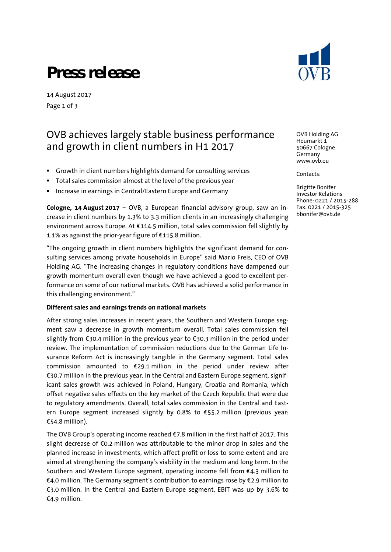## **Press release**

14 August 2017 Page 1 of 3

### OVB achieves largely stable business performance and growth in client numbers in H1 2017

- Growth in client numbers highlights demand for consulting services
- Total sales commission almost at the level of the previous year
- Increase in earnings in Central/Eastern Europe and Germany

**Cologne, 14 August 2017 –** OVB, a European financial advisory group, saw an increase in client numbers by 1.3% to 3.3 million clients in an increasingly challenging environment across Europe. At €114.5 million, total sales commission fell slightly by 1.1% as against the prior-year figure of €115.8 million.

"The ongoing growth in client numbers highlights the significant demand for consulting services among private households in Europe" said Mario Freis, CEO of OVB Holding AG. "The increasing changes in regulatory conditions have dampened our growth momentum overall even though we have achieved a good to excellent performance on some of our national markets. OVB has achieved a solid performance in this challenging environment."

#### **Different sales and earnings trends on national markets**

After strong sales increases in recent years, the Southern and Western Europe segment saw a decrease in growth momentum overall. Total sales commission fell slightly from €30.4 million in the previous year to €30.3 million in the period under review. The implementation of commission reductions due to the German Life Insurance Reform Act is increasingly tangible in the Germany segment. Total sales commission amounted to  $\epsilon$ 29.1 million in the period under review after €30.7 million in the previous year. In the Central and Eastern Europe segment, significant sales growth was achieved in Poland, Hungary, Croatia and Romania, which offset negative sales effects on the key market of the Czech Republic that were due to regulatory amendments. Overall, total sales commission in the Central and Eastern Europe segment increased slightly by 0.8% to €55.2 million (previous year: €54.8 million).

The OVB Group's operating income reached  $\epsilon$ 7.8 million in the first half of 2017. This slight decrease of €0.2 million was attributable to the minor drop in sales and the planned increase in investments, which affect profit or loss to some extent and are aimed at strengthening the company's viability in the medium and long term. In the Southern and Western Europe segment, operating income fell from €4.3 million to €4.0 million. The Germany segment's contribution to earnings rose by €2.9 million to €3.0 million. In the Central and Eastern Europe segment, EBIT was up by 3.6% to €4.9 million.



OVB Holding AG Heumarkt 1 50667 Cologne Germany www.ovb.eu

Contacts:

Brigitte Bonifer Investor Relations Phone: 0221 / 2015-288 Fax: 0221 / 2015-325 bbonifer@ovb.de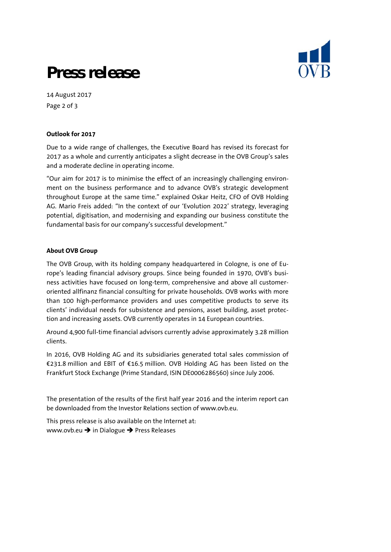

## **Press release**

14 August 2017 Page 2 of 3

#### **Outlook for 2017**

Due to a wide range of challenges, the Executive Board has revised its forecast for 2017 as a whole and currently anticipates a slight decrease in the OVB Group's sales and a moderate decline in operating income.

"Our aim for 2017 is to minimise the effect of an increasingly challenging environment on the business performance and to advance OVB's strategic development throughout Europe at the same time." explained Oskar Heitz, CFO of OVB Holding AG. Mario Freis added: "In the context of our 'Evolution 2022' strategy, leveraging potential, digitisation, and modernising and expanding our business constitute the fundamental basis for our company's successful development."

#### **About OVB Group**

The OVB Group, with its holding company headquartered in Cologne, is one of Europe's leading financial advisory groups. Since being founded in 1970, OVB's business activities have focused on long-term, comprehensive and above all customeroriented allfinanz financial consulting for private households. OVB works with more than 100 high-performance providers and uses competitive products to serve its clients' individual needs for subsistence and pensions, asset building, asset protection and increasing assets. OVB currently operates in 14 European countries.

Around 4,900 full-time financial advisors currently advise approximately 3.28 million clients.

In 2016, OVB Holding AG and its subsidiaries generated total sales commission of €231.8 million and EBIT of €16.5 million. OVB Holding AG has been listed on the Frankfurt Stock Exchange (Prime Standard, ISIN DE0006286560) since July 2006.

The presentation of the results of the first half year 2016 and the interim report can be downloaded from the Investor Relations section of www.ovb.eu.

This press release is also available on the Internet at: www.ovb.eu  $\rightarrow$  in Dialogue  $\rightarrow$  Press Releases